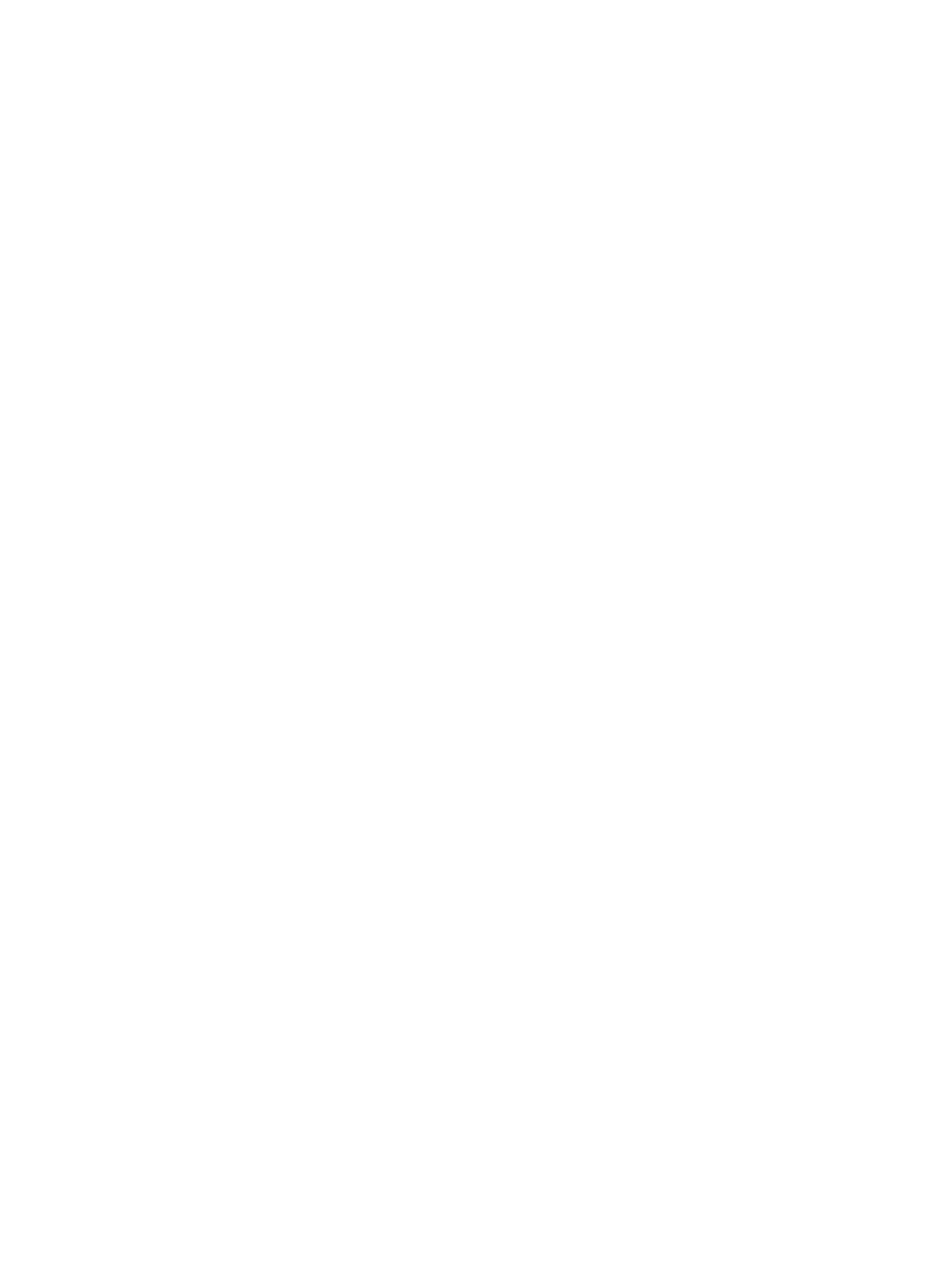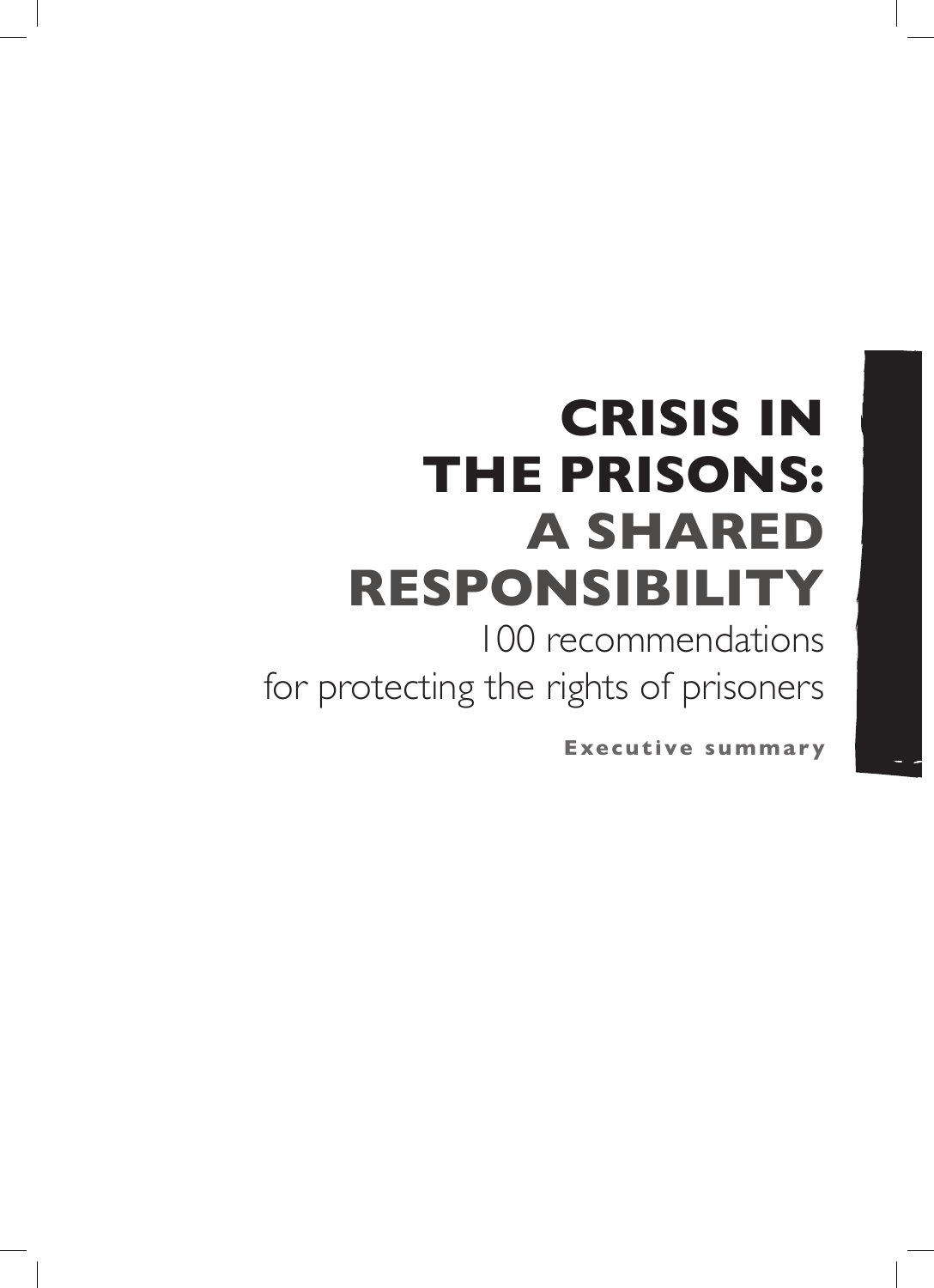# **CRISIS IN LA CRISE THE PRISONS: DES PRISONS A SHARED RESPONSIBILITY PASIBILI I T**

100 recommendations for protecting the rights of prisoners

**Executive summary**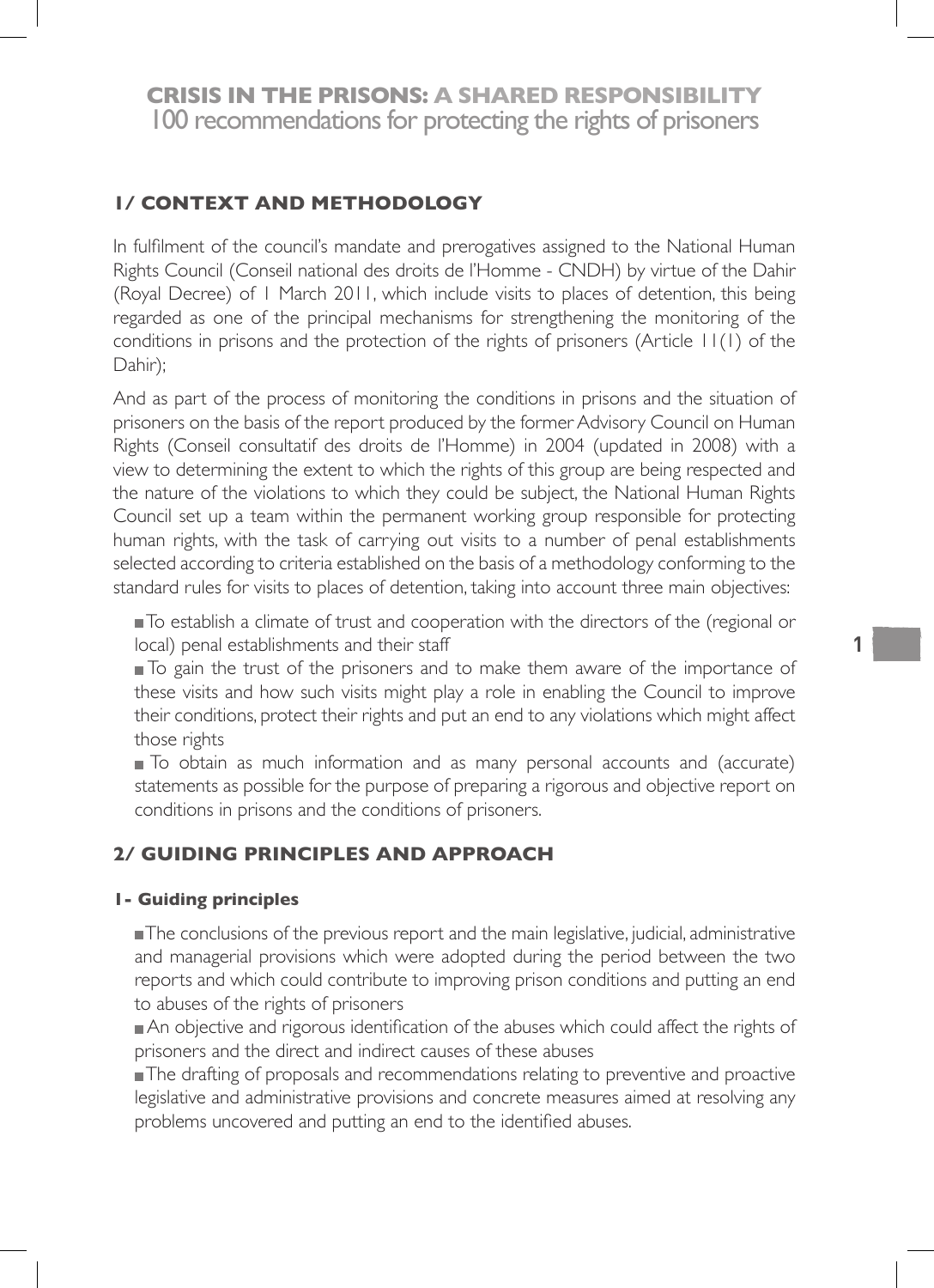## **1/ CONTEXT AND METHODOLOGY**

In fulfilment of the council's mandate and prerogatives assigned to the National Human Rights Council (Conseil national des droits de l'Homme - CNDH) by virtue of the Dahir (Royal Decree) of 1 March 2011, which include visits to places of detention, this being regarded as one of the principal mechanisms for strengthening the monitoring of the conditions in prisons and the protection of the rights of prisoners (Article 11(1) of the Dahir);

And as part of the process of monitoring the conditions in prisons and the situation of prisoners on the basis of the report produced by the former Advisory Council on Human Rights (Conseil consultatif des droits de l'Homme) in 2004 (updated in 2008) with a view to determining the extent to which the rights of this group are being respected and the nature of the violations to which they could be subject, the National Human Rights Council set up a team within the permanent working group responsible for protecting human rights, with the task of carrying out visits to a number of penal establishments selected according to criteria established on the basis of a methodology conforming to the standard rules for visits to places of detention, taking into account three main objectives:

 To establish a climate of trust and cooperation with the directors of the (regional or local) penal establishments and their staff

 To gain the trust of the prisoners and to make them aware of the importance of these visits and how such visits might play a role in enabling the Council to improve their conditions, protect their rights and put an end to any violations which might affect those rights

 To obtain as much information and as many personal accounts and (accurate) statements as possible for the purpose of preparing a rigorous and objective report on conditions in prisons and the conditions of prisoners.

## **2/ GUIDING PRINCIPLES AND APPROACH**

## **1- Guiding principles**

The conclusions of the previous report and the main legislative, judicial, administrative and managerial provisions which were adopted during the period between the two reports and which could contribute to improving prison conditions and putting an end to abuses of the rights of prisoners

An objective and rigorous identification of the abuses which could affect the rights of prisoners and the direct and indirect causes of these abuses

The drafting of proposals and recommendations relating to preventive and proactive legislative and administrative provisions and concrete measures aimed at resolving any problems uncovered and putting an end to the identified abuses.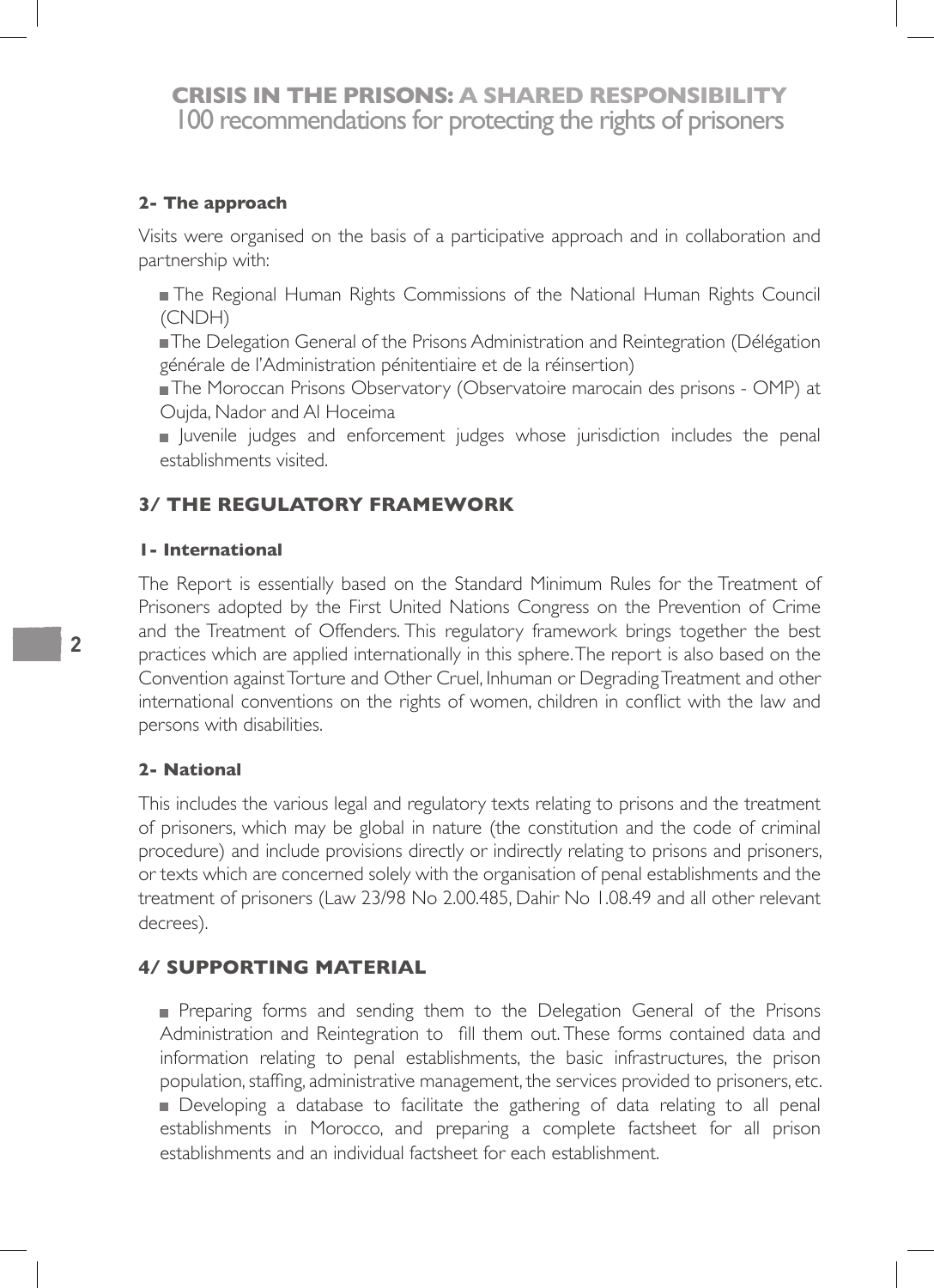## **2- The approach**

Visits were organised on the basis of a participative approach and in collaboration and partnership with:

The Regional Human Rights Commissions of the National Human Rights Council (CNDH)

 The Delegation General of the Prisons Administration and Reintegration (Délégation générale de l'Administration pénitentiaire et de la réinsertion)

 The Moroccan Prisons Observatory (Observatoire marocain des prisons - OMP) at Oujda, Nador and Al Hoceima

**Juvenile judges and enforcement judges whose jurisdiction includes the penal** establishments visited.

## **3/ THE REGULATORY FRAMEWORK**

#### **1- International**

The Report is essentially based on the Standard Minimum Rules for the Treatment of Prisoners adopted by the First United Nations Congress on the Prevention of Crime and the Treatment of Offenders. This regulatory framework brings together the best practices which are applied internationally in this sphere. The report is also based on the Convention against Torture and Other Cruel, Inhuman or Degrading Treatment and other international conventions on the rights of women, children in conflict with the law and persons with disabilities.

#### **2- National**

This includes the various legal and regulatory texts relating to prisons and the treatment of prisoners, which may be global in nature (the constitution and the code of criminal procedure) and include provisions directly or indirectly relating to prisons and prisoners, or texts which are concerned solely with the organisation of penal establishments and the treatment of prisoners (Law 23/98 No 2.00.485, Dahir No 1.08.49 and all other relevant decrees).

## **4/ SUPPORTING MATERIAL**

**Preparing forms and sending them to the Delegation General of the Prisons** Administration and Reintegration to fill them out. These forms contained data and information relating to penal establishments, the basic infrastructures, the prison population, staffing, administrative management, the services provided to prisoners, etc. Developing a database to facilitate the gathering of data relating to all penal establishments in Morocco, and preparing a complete factsheet for all prison establishments and an individual factsheet for each establishment.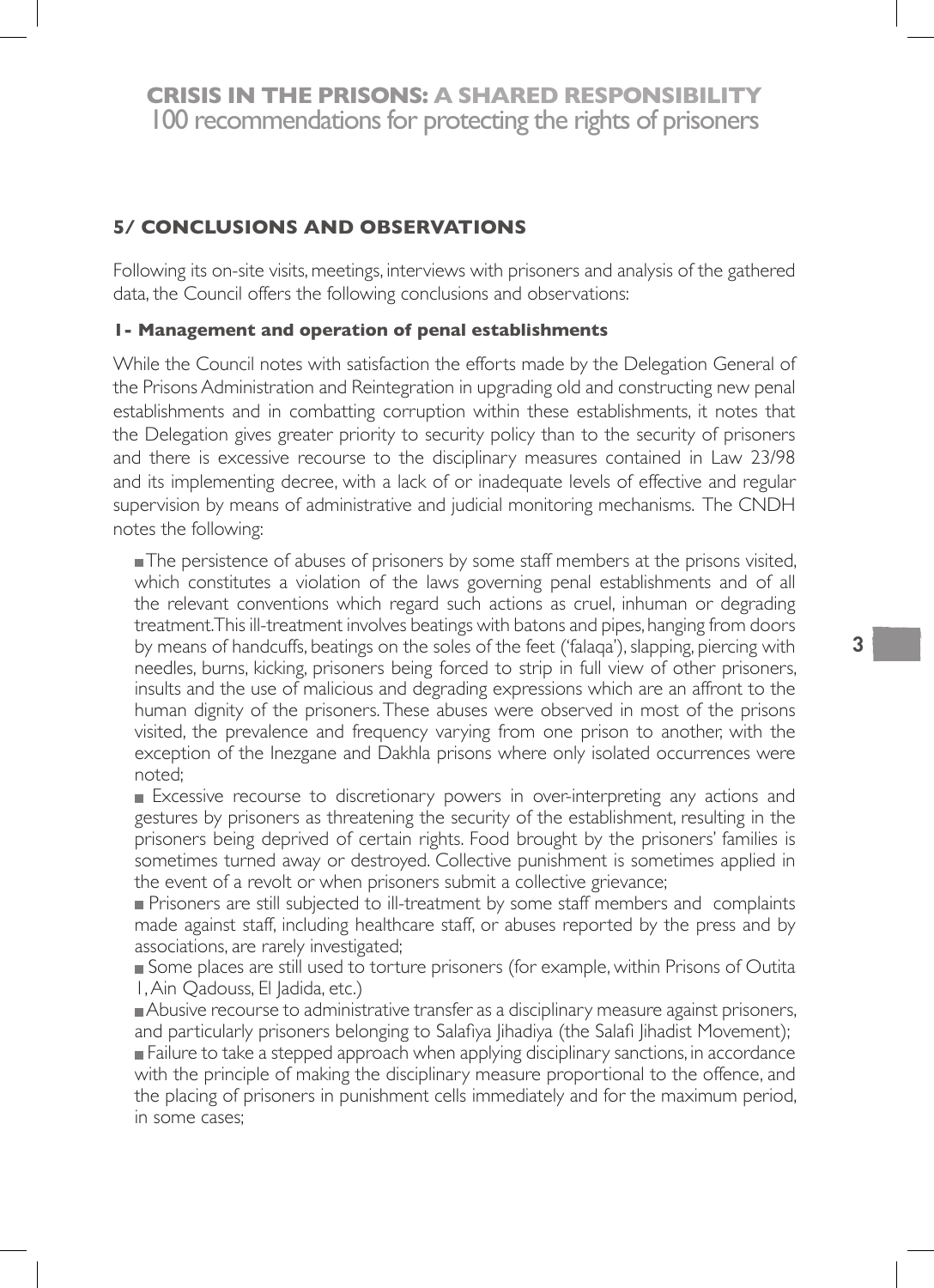## **5/ CONCLUSIONS AND OBSERVATIONS**

Following its on-site visits, meetings, interviews with prisoners and analysis of the gathered data, the Council offers the following conclusions and observations:

#### **1- Management and operation of penal establishments**

While the Council notes with satisfaction the efforts made by the Delegation General of the Prisons Administration and Reintegration in upgrading old and constructing new penal establishments and in combatting corruption within these establishments, it notes that the Delegation gives greater priority to security policy than to the security of prisoners and there is excessive recourse to the disciplinary measures contained in Law 23/98 and its implementing decree, with a lack of or inadequate levels of effective and regular supervision by means of administrative and judicial monitoring mechanisms. The CNDH notes the following:

The persistence of abuses of prisoners by some staff members at the prisons visited, which constitutes a violation of the laws governing penal establishments and of all the relevant conventions which regard such actions as cruel, inhuman or degrading treatment. This ill-treatment involves beatings with batons and pipes, hanging from doors by means of handcuffs, beatings on the soles of the feet ('falaqa'), slapping, piercing with needles, burns, kicking, prisoners being forced to strip in full view of other prisoners, insults and the use of malicious and degrading expressions which are an affront to the human dignity of the prisoners. These abuses were observed in most of the prisons visited, the prevalence and frequency varying from one prison to another, with the exception of the Inezgane and Dakhla prisons where only isolated occurrences were noted;

Excessive recourse to discretionary powers in over-interpreting any actions and gestures by prisoners as threatening the security of the establishment, resulting in the prisoners being deprived of certain rights. Food brought by the prisoners' families is sometimes turned away or destroyed. Collective punishment is sometimes applied in the event of a revolt or when prisoners submit a collective grievance;

**Prisoners are still subjected to ill-treatment by some staff members and complaints** made against staff, including healthcare staff, or abuses reported by the press and by associations, are rarely investigated;

Some places are still used to torture prisoners (for example, within Prisons of Outita 1, Ain Qadouss, El Jadida, etc.)

Abusive recourse to administrative transfer as a disciplinary measure against prisoners, and particularly prisoners belonging to Salafiya Jihadiya (the Salafi Jihadist Movement); **Failure to take a stepped approach when applying disciplinary sanctions, in accordance** with the principle of making the disciplinary measure proportional to the offence, and the placing of prisoners in punishment cells immediately and for the maximum period, in some cases;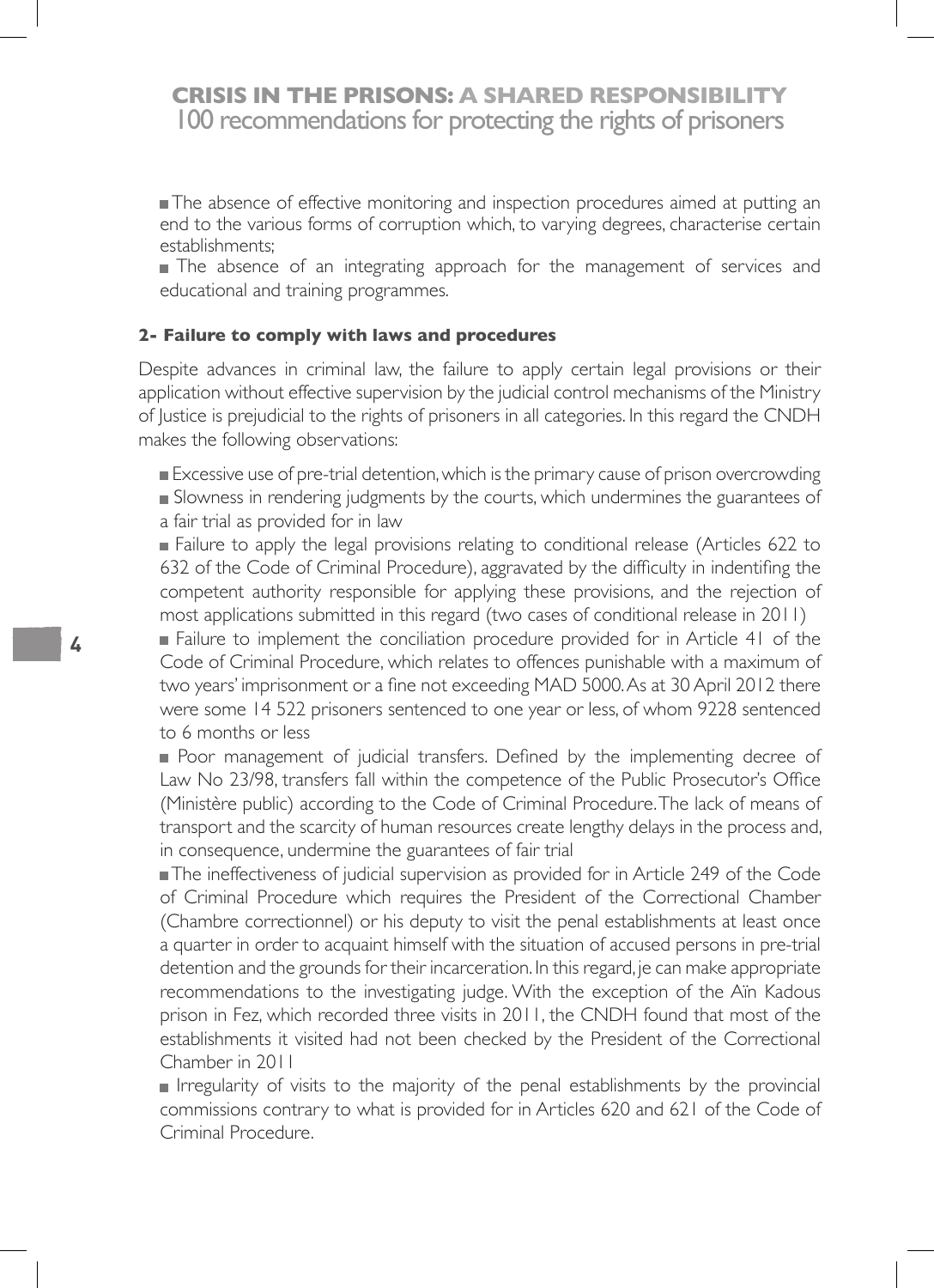The absence of effective monitoring and inspection procedures aimed at putting an end to the various forms of corruption which, to varying degrees, characterise certain establishments;

The absence of an integrating approach for the management of services and educational and training programmes.

#### **2- Failure to comply with laws and procedures**

Despite advances in criminal law, the failure to apply certain legal provisions or their application without effective supervision by the judicial control mechanisms of the Ministry of Justice is prejudicial to the rights of prisoners in all categories. In this regard the CNDH makes the following observations:

Excessive use of pre-trial detention, which is the primary cause of prison overcrowding

Slowness in rendering judgments by the courts, which undermines the guarantees of a fair trial as provided for in law

Failure to apply the legal provisions relating to conditional release (Articles 622 to 632 of the Code of Criminal Procedure), aggravated by the difficulty in indentifing the competent authority responsible for applying these provisions, and the rejection of most applications submitted in this regard (two cases of conditional release in 2011)

Failure to implement the conciliation procedure provided for in Article 41 of the Code of Criminal Procedure, which relates to offences punishable with a maximum of two years' imprisonment or a fine not exceeding MAD 5000. As at 30 April 2012 there were some 14 522 prisoners sentenced to one year or less, of whom 9228 sentenced to 6 months or less

**Poor management of judicial transfers. Defined by the implementing decree of** Law No 23/98, transfers fall within the competence of the Public Prosecutor's Office (Ministère public) according to the Code of Criminal Procedure. The lack of means of transport and the scarcity of human resources create lengthy delays in the process and, in consequence, undermine the guarantees of fair trial

 The ineffectiveness of judicial supervision as provided for in Article 249 of the Code of Criminal Procedure which requires the President of the Correctional Chamber (Chambre correctionnel) or his deputy to visit the penal establishments at least once a quarter in order to acquaint himself with the situation of accused persons in pre-trial detention and the grounds for their incarceration. In this regard, je can make appropriate recommendations to the investigating judge. With the exception of the Aïn Kadous prison in Fez, which recorded three visits in 2011, the CNDH found that most of the establishments it visited had not been checked by the President of the Correctional Chamber in 2011

Irregularity of visits to the majority of the penal establishments by the provincial commissions contrary to what is provided for in Articles 620 and 621 of the Code of Criminal Procedure.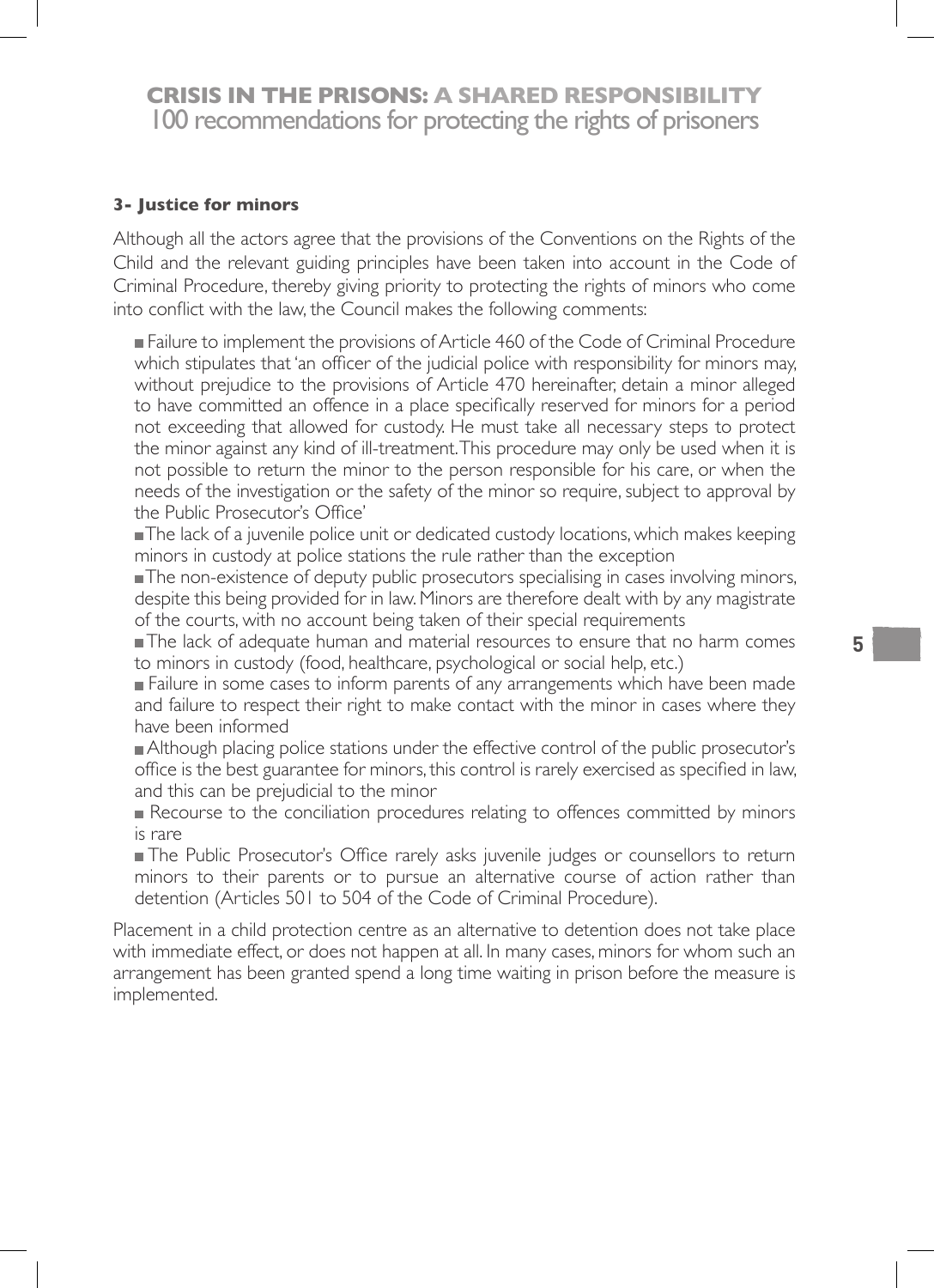#### **3- Justice for minors**

Although all the actors agree that the provisions of the Conventions on the Rights of the Child and the relevant guiding principles have been taken into account in the Code of Criminal Procedure, thereby giving priority to protecting the rights of minors who come into conflict with the law, the Council makes the following comments:

**Failure to implement the provisions of Article 460 of the Code of Criminal Procedure** which stipulates that 'an officer of the judicial police with responsibility for minors may, without prejudice to the provisions of Article 470 hereinafter, detain a minor alleged to have committed an offence in a place specifically reserved for minors for a period not exceeding that allowed for custody. He must take all necessary steps to protect the minor against any kind of ill-treatment. This procedure may only be used when it is not possible to return the minor to the person responsible for his care, or when the needs of the investigation or the safety of the minor so require, subject to approval by the Public Prosecutor's Office'

The lack of a juvenile police unit or dedicated custody locations, which makes keeping minors in custody at police stations the rule rather than the exception

The non-existence of deputy public prosecutors specialising in cases involving minors, despite this being provided for in law. Minors are therefore dealt with by any magistrate of the courts, with no account being taken of their special requirements

The lack of adequate human and material resources to ensure that no harm comes to minors in custody (food, healthcare, psychological or social help, etc.)

**Failure in some cases to inform parents of any arrangements which have been made** and failure to respect their right to make contact with the minor in cases where they have been informed

Although placing police stations under the effective control of the public prosecutor's office is the best guarantee for minors, this control is rarely exercised as specified in law, and this can be prejudicial to the minor

Recourse to the conciliation procedures relating to offences committed by minors is rare

The Public Prosecutor's Office rarely asks juvenile judges or counsellors to return minors to their parents or to pursue an alternative course of action rather than detention (Articles 501 to 504 of the Code of Criminal Procedure).

Placement in a child protection centre as an alternative to detention does not take place with immediate effect, or does not happen at all. In many cases, minors for whom such an arrangement has been granted spend a long time waiting in prison before the measure is implemented.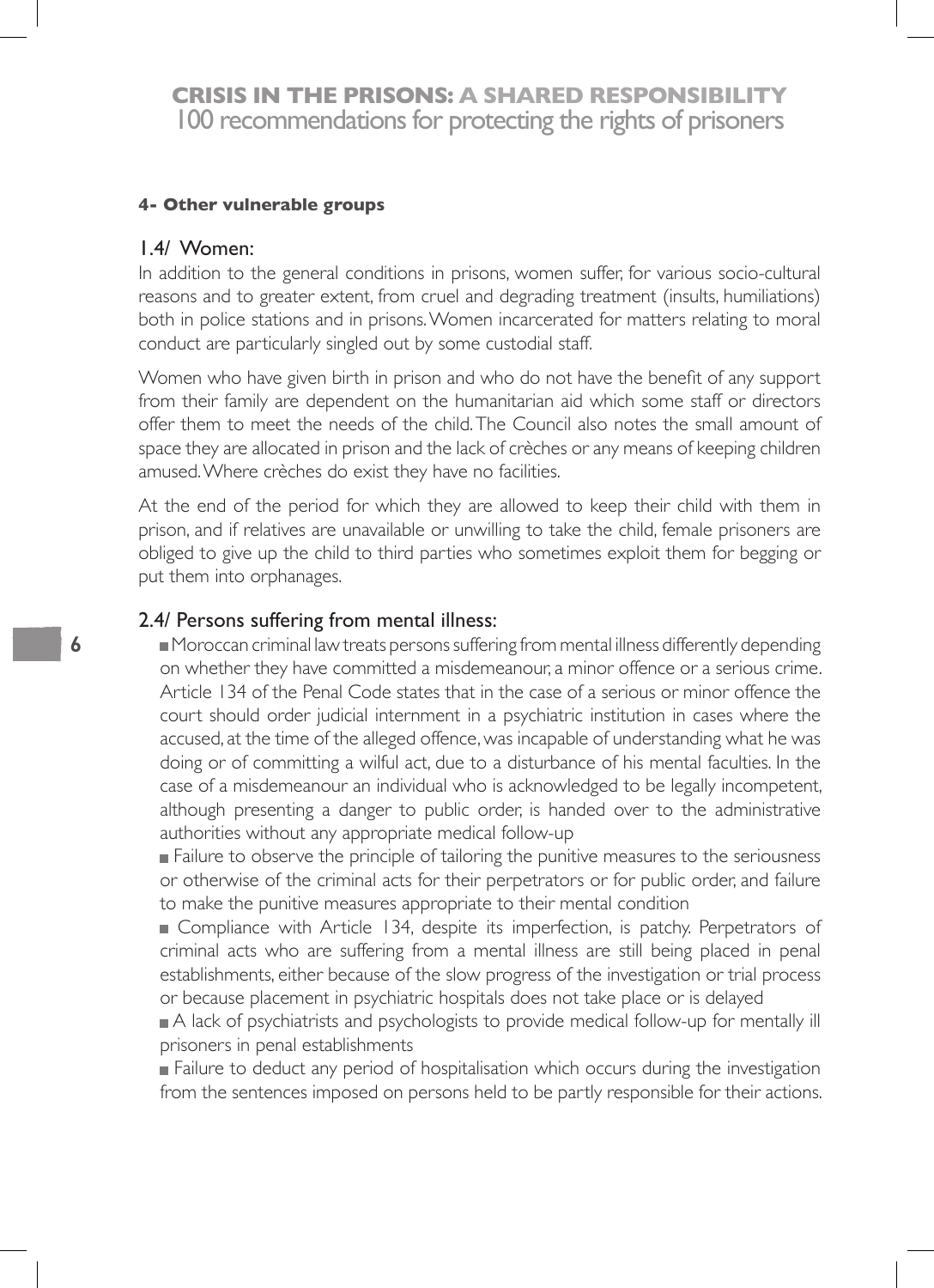### **4- Other vulnerable groups**

## 1.4/ Women:

In addition to the general conditions in prisons, women suffer, for various socio-cultural reasons and to greater extent, from cruel and degrading treatment (insults, humiliations) both in police stations and in prisons. Women incarcerated for matters relating to moral conduct are particularly singled out by some custodial staff.

Women who have given birth in prison and who do not have the benefit of any support from their family are dependent on the humanitarian aid which some staff or directors offer them to meet the needs of the child. The Council also notes the small amount of space they are allocated in prison and the lack of crèches or any means of keeping children amused. Where crèches do exist they have no facilities.

At the end of the period for which they are allowed to keep their child with them in prison, and if relatives are unavailable or unwilling to take the child, female prisoners are obliged to give up the child to third parties who sometimes exploit them for begging or put them into orphanages.

### 2.4/ Persons suffering from mental illness:

 Moroccan criminal law treats persons suffering from mental illness differently depending on whether they have committed a misdemeanour, a minor offence or a serious crime. Article 134 of the Penal Code states that in the case of a serious or minor offence the court should order judicial internment in a psychiatric institution in cases where the accused, at the time of the alleged offence, was incapable of understanding what he was doing or of committing a wilful act, due to a disturbance of his mental faculties. In the case of a misdemeanour an individual who is acknowledged to be legally incompetent, although presenting a danger to public order, is handed over to the administrative authorities without any appropriate medical follow-up

**Failure to observe the principle of tailoring the punitive measures to the seriousness** or otherwise of the criminal acts for their perpetrators or for public order, and failure to make the punitive measures appropriate to their mental condition

Compliance with Article 134, despite its imperfection, is patchy. Perpetrators of criminal acts who are suffering from a mental illness are still being placed in penal establishments, either because of the slow progress of the investigation or trial process or because placement in psychiatric hospitals does not take place or is delayed

A lack of psychiatrists and psychologists to provide medical follow-up for mentally ill prisoners in penal establishments

**Failure to deduct any period of hospitalisation which occurs during the investigation** from the sentences imposed on persons held to be partly responsible for their actions.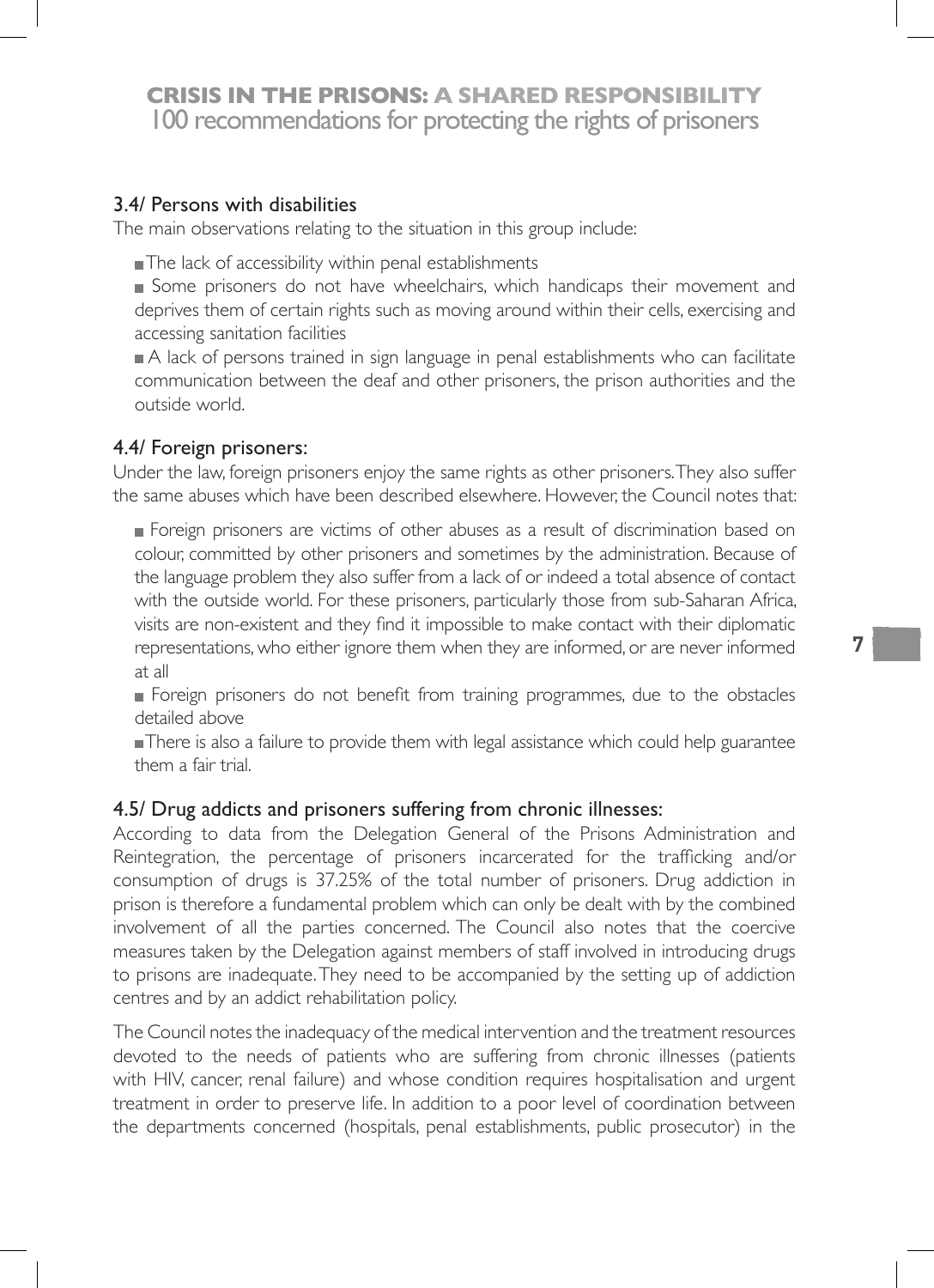# 3.4/ Persons with disabilities

The main observations relating to the situation in this group include:

- The lack of accessibility within penal establishments
- Some prisoners do not have wheelchairs, which handicaps their movement and deprives them of certain rights such as moving around within their cells, exercising and accessing sanitation facilities
- A lack of persons trained in sign language in penal establishments who can facilitate communication between the deaf and other prisoners, the prison authorities and the outside world.

# 4.4/ Foreign prisoners:

Under the law, foreign prisoners enjoy the same rights as other prisoners. They also suffer the same abuses which have been described elsewhere. However, the Council notes that:

- Foreign prisoners are victims of other abuses as a result of discrimination based on colour, committed by other prisoners and sometimes by the administration. Because of the language problem they also suffer from a lack of or indeed a total absence of contact with the outside world. For these prisoners, particularly those from sub-Saharan Africa, visits are non-existent and they find it impossible to make contact with their diplomatic representations, who either ignore them when they are informed, or are never informed at all
- **Foreign prisoners do not benefit from training programmes, due to the obstacles** detailed above
- There is also a failure to provide them with legal assistance which could help guarantee them a fair trial.

## 4.5/ Drug addicts and prisoners suffering from chronic illnesses:

According to data from the Delegation General of the Prisons Administration and Reintegration, the percentage of prisoners incarcerated for the trafficking and/or consumption of drugs is 37.25% of the total number of prisoners. Drug addiction in prison is therefore a fundamental problem which can only be dealt with by the combined involvement of all the parties concerned. The Council also notes that the coercive measures taken by the Delegation against members of staff involved in introducing drugs to prisons are inadequate. They need to be accompanied by the setting up of addiction centres and by an addict rehabilitation policy.

The Council notes the inadequacy of the medical intervention and the treatment resources devoted to the needs of patients who are suffering from chronic illnesses (patients with HIV, cancer, renal failure) and whose condition requires hospitalisation and urgent treatment in order to preserve life. In addition to a poor level of coordination between the departments concerned (hospitals, penal establishments, public prosecutor) in the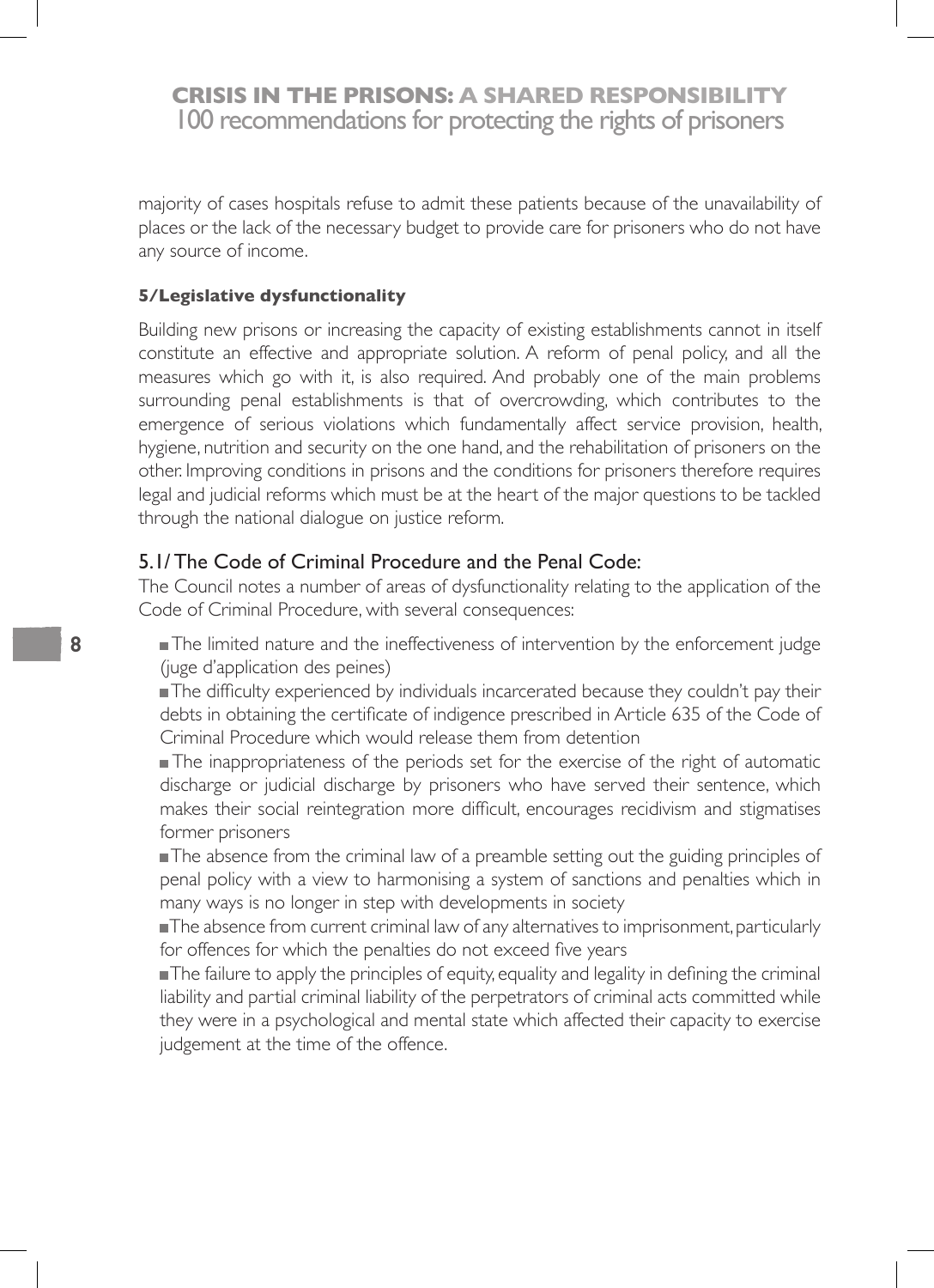majority of cases hospitals refuse to admit these patients because of the unavailability of places or the lack of the necessary budget to provide care for prisoners who do not have any source of income.

## **5/Legislative dysfunctionality**

Building new prisons or increasing the capacity of existing establishments cannot in itself constitute an effective and appropriate solution. A reform of penal policy, and all the measures which go with it, is also required. And probably one of the main problems surrounding penal establishments is that of overcrowding, which contributes to the emergence of serious violations which fundamentally affect service provision, health, hygiene, nutrition and security on the one hand, and the rehabilitation of prisoners on the other. Improving conditions in prisons and the conditions for prisoners therefore requires legal and judicial reforms which must be at the heart of the major questions to be tackled through the national dialogue on justice reform.

## 5.1/ The Code of Criminal Procedure and the Penal Code:

The Council notes a number of areas of dysfunctionality relating to the application of the Code of Criminal Procedure, with several consequences:

The limited nature and the ineffectiveness of intervention by the enforcement judge (juge d'application des peines)

The difficulty experienced by individuals incarcerated because they couldn't pay their debts in obtaining the certificate of indigence prescribed in Article 635 of the Code of Criminal Procedure which would release them from detention

The inappropriateness of the periods set for the exercise of the right of automatic discharge or judicial discharge by prisoners who have served their sentence, which makes their social reintegration more difficult, encourages recidivism and stigmatises former prisoners

The absence from the criminal law of a preamble setting out the guiding principles of penal policy with a view to harmonising a system of sanctions and penalties which in many ways is no longer in step with developments in society

The absence from current criminal law of any alternatives to imprisonment, particularly for offences for which the penalties do not exceed five years

The failure to apply the principles of equity, equality and legality in defining the criminal liability and partial criminal liability of the perpetrators of criminal acts committed while they were in a psychological and mental state which affected their capacity to exercise judgement at the time of the offence.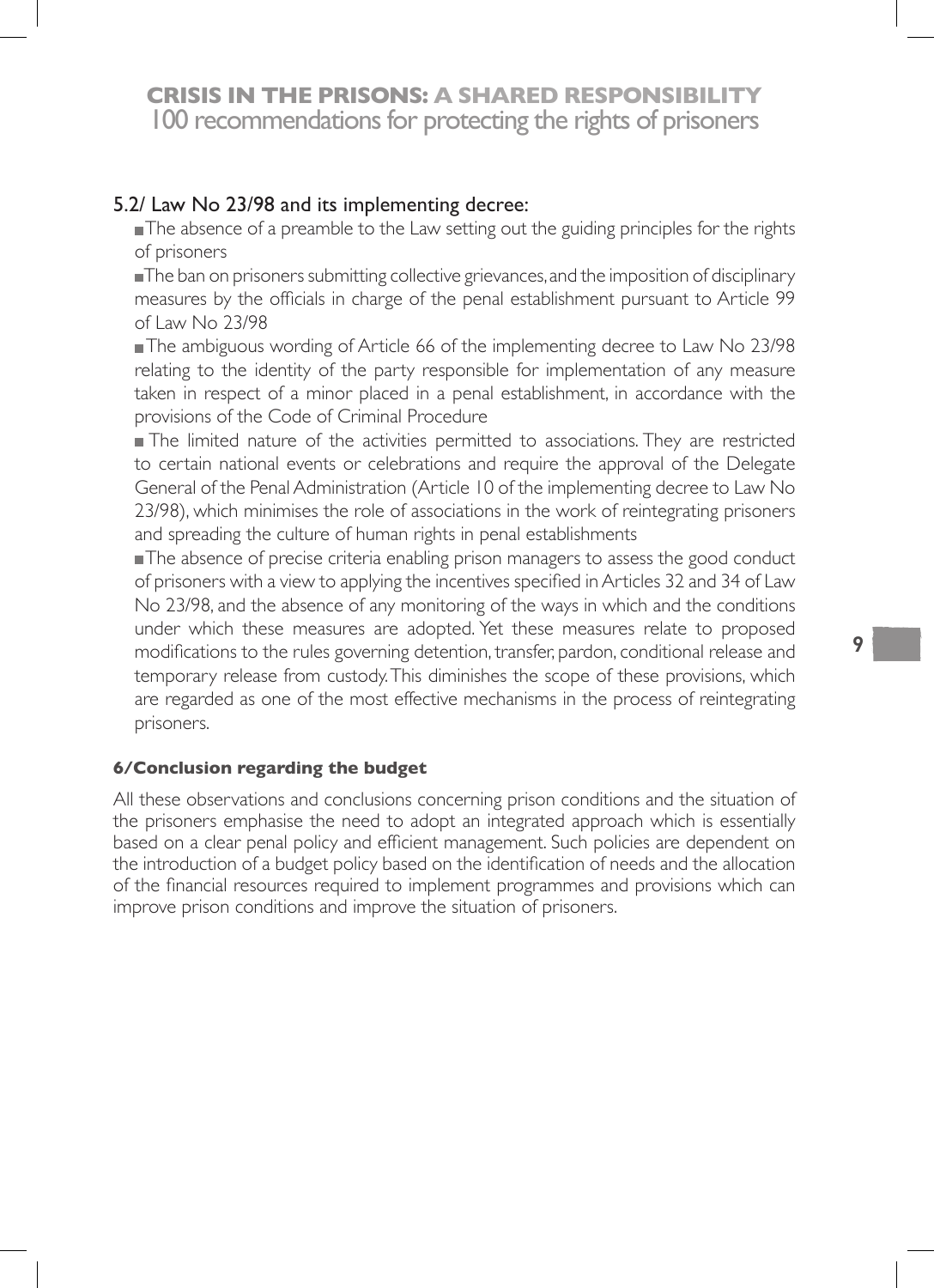# 5.2/ Law No 23/98 and its implementing decree:

The absence of a preamble to the Law setting out the guiding principles for the rights of prisoners

The ban on prisoners submitting collective grievances, and the imposition of disciplinary measures by the officials in charge of the penal establishment pursuant to Article 99 of Law No 23/98

The ambiguous wording of Article 66 of the implementing decree to Law No 23/98 relating to the identity of the party responsible for implementation of any measure taken in respect of a minor placed in a penal establishment, in accordance with the provisions of the Code of Criminal Procedure

The limited nature of the activities permitted to associations. They are restricted to certain national events or celebrations and require the approval of the Delegate General of the Penal Administration (Article 10 of the implementing decree to Law No 23/98), which minimises the role of associations in the work of reintegrating prisoners and spreading the culture of human rights in penal establishments

The absence of precise criteria enabling prison managers to assess the good conduct of prisoners with a view to applying the incentives specified in Articles 32 and 34 of Law No 23/98, and the absence of any monitoring of the ways in which and the conditions under which these measures are adopted. Yet these measures relate to proposed modifications to the rules governing detention, transfer, pardon, conditional release and temporary release from custody. This diminishes the scope of these provisions, which are regarded as one of the most effective mechanisms in the process of reintegrating prisoners.

## **6/Conclusion regarding the budget**

All these observations and conclusions concerning prison conditions and the situation of the prisoners emphasise the need to adopt an integrated approach which is essentially based on a clear penal policy and efficient management. Such policies are dependent on the introduction of a budget policy based on the identification of needs and the allocation of the financial resources required to implement programmes and provisions which can improve prison conditions and improve the situation of prisoners.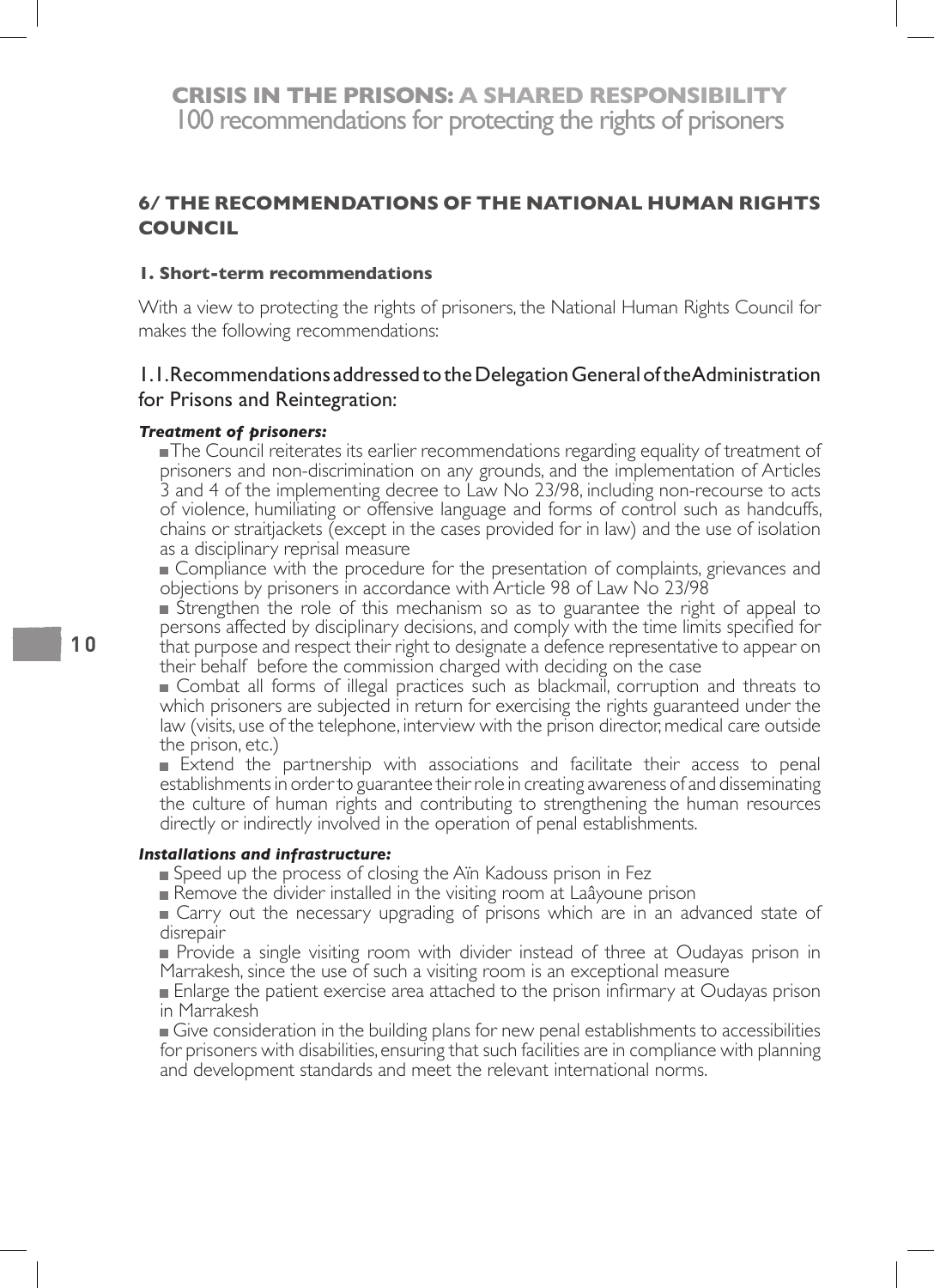# **6/ THE RECOMMENDATIONS OF THE NATIONAL HUMAN RIGHTS COUNCIL**

## **1. Short-term recommendations**

With a view to protecting the rights of prisoners, the National Human Rights Council for makes the following recommendations:

# 1.1. Recommendations addressed to the Delegation General of the Administration for Prisons and Reintegration:

## *Treatment of prisoners:*

The Council reiterates its earlier recommendations regarding equality of treatment of prisoners and non-discrimination on any grounds, and the implementation of Articles 3 and 4 of the implementing decree to Law No 23/98, including non-recourse to acts of violence, humiliating or offensive language and forms of control such as handcuffs, chains or straitjackets (except in the cases provided for in law) and the use of isolation as a disciplinary reprisal measure

 Compliance with the procedure for the presentation of complaints, grievances and objections by prisoners in accordance with Article 98 of Law No 23/98

 Strengthen the role of this mechanism so as to guarantee the right of appeal to persons affected by disciplinary decisions, and comply with the time limits specified for that purpose and respect their right to designate a defence representative to appear on their behalf before the commission charged with deciding on the case

 Combat all forms of illegal practices such as blackmail, corruption and threats to which prisoners are subjected in return for exercising the rights guaranteed under the law (visits, use of the telephone, interview with the prison director, medical care outside the prison, etc.)

 Extend the partnership with associations and facilitate their access to penal establishments in order to guarantee their role in creating awareness of and disseminating the culture of human rights and contributing to strengthening the human resources directly or indirectly involved in the operation of penal establishments.

#### *Installations and infrastructure:*

Speed up the process of closing the Aïn Kadouss prison in Fez

Remove the divider installed in the visiting room at Laâyoune prison

 Carry out the necessary upgrading of prisons which are in an advanced state of disrepair

**Provide a single visiting room with divider instead of three at Oudayas prison in** Marrakesh, since the use of such a visiting room is an exceptional measure

 Enlarge the patient exercise area attached to the prison infirmary at Oudayas prison in Marrakesh

Give consideration in the building plans for new penal establishments to accessibilities for prisoners with disabilities, ensuring that such facilities are in compliance with planning and development standards and meet the relevant international norms.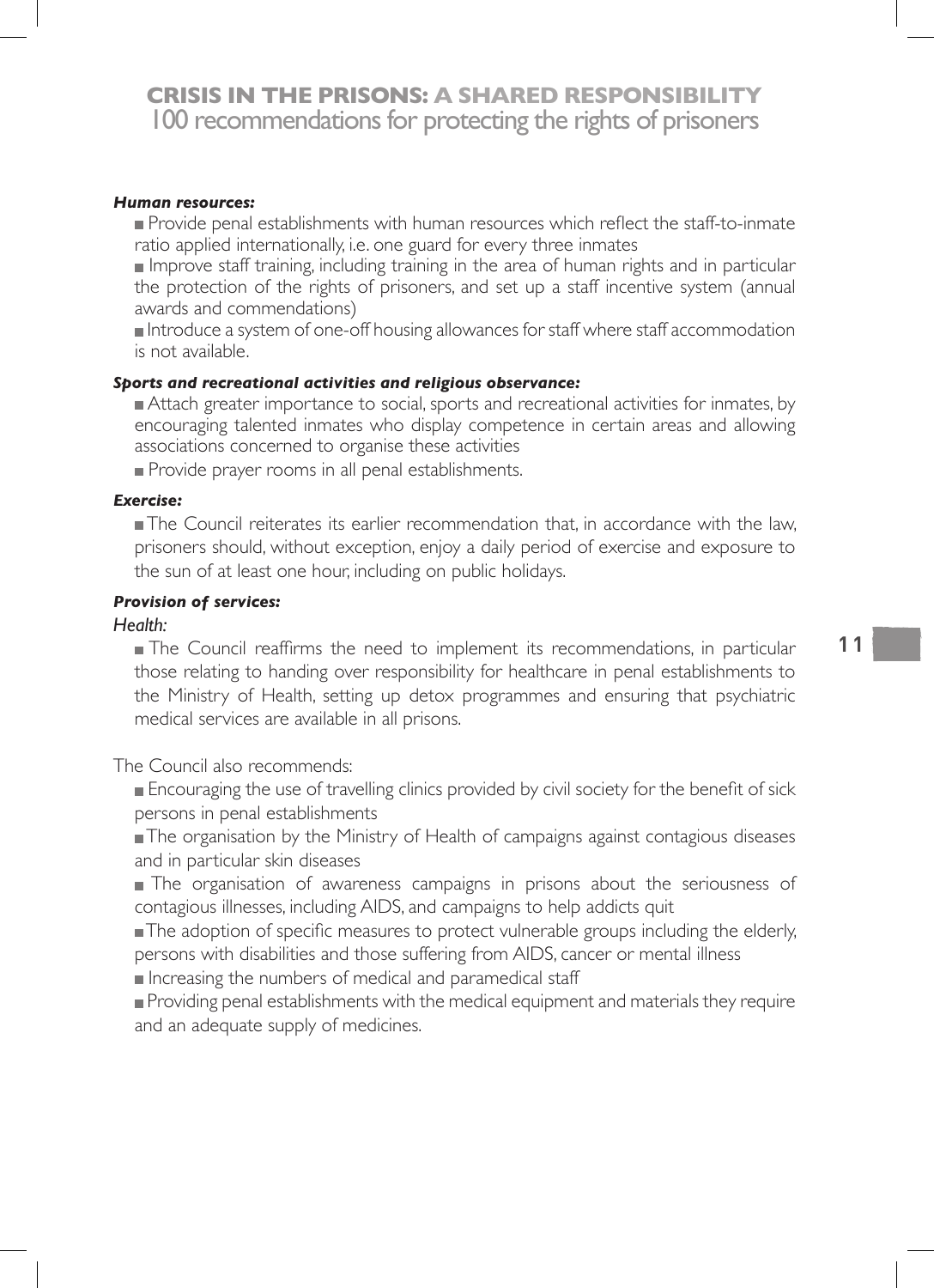#### *Human resources:*

 Provide penal establishments with human resources which reflect the staff-to-inmate ratio applied internationally, i.e. one guard for every three inmates

Improve staff training, including training in the area of human rights and in particular the protection of the rights of prisoners, and set up a staff incentive system (annual awards and commendations)

Introduce a system of one-off housing allowances for staff where staff accommodation is not available.

#### *Sports and recreational activities and religious observance:*

Attach greater importance to social, sports and recreational activities for inmates, by encouraging talented inmates who display competence in certain areas and allowing associations concerned to organise these activities

Provide prayer rooms in all penal establishments.

## *Exercise:*

 The Council reiterates its earlier recommendation that, in accordance with the law, prisoners should, without exception, enjoy a daily period of exercise and exposure to the sun of at least one hour, including on public holidays.

#### *Provision of services:*

## *Health:*

 The Council reaffirms the need to implement its recommendations, in particular those relating to handing over responsibility for healthcare in penal establishments to the Ministry of Health, setting up detox programmes and ensuring that psychiatric medical services are available in all prisons.

The Council also recommends:

**Encouraging the use of travelling clinics provided by civil society for the benefit of sick** persons in penal establishments

The organisation by the Ministry of Health of campaigns against contagious diseases and in particular skin diseases

 The organisation of awareness campaigns in prisons about the seriousness of contagious illnesses, including AIDS, and campaigns to help addicts quit

The adoption of specific measures to protect vulnerable groups including the elderly, persons with disabilities and those suffering from AIDS, cancer or mental illness

Increasing the numbers of medical and paramedical staff

Providing penal establishments with the medical equipment and materials they require and an adequate supply of medicines.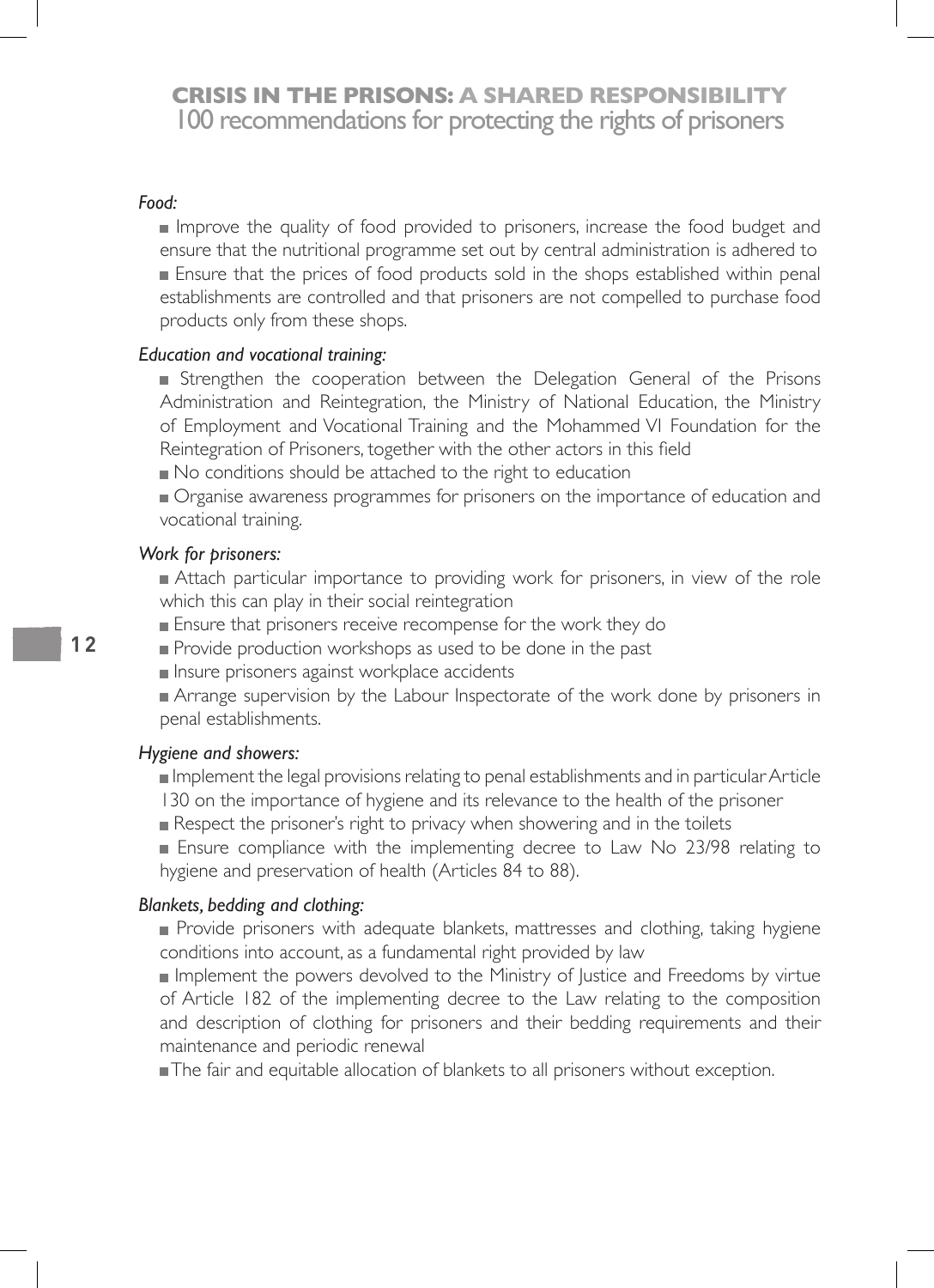#### *Food:*

Improve the quality of food provided to prisoners, increase the food budget and ensure that the nutritional programme set out by central administration is adhered to Ensure that the prices of food products sold in the shops established within penal establishments are controlled and that prisoners are not compelled to purchase food products only from these shops.

#### *Education and vocational training:*

**Strengthen the cooperation between the Delegation General of the Prisons** Administration and Reintegration, the Ministry of National Education, the Ministry of Employment and Vocational Training and the Mohammed VI Foundation for the Reintegration of Prisoners, together with the other actors in this field

 $\blacksquare$  No conditions should be attached to the right to education

 Organise awareness programmes for prisoners on the importance of education and vocational training.

#### *Work for prisoners:*

Attach particular importance to providing work for prisoners, in view of the role which this can play in their social reintegration

- Ensure that prisoners receive recompense for the work they do
- Provide production workshops as used to be done in the past

Insure prisoners against workplace accidents

Arrange supervision by the Labour Inspectorate of the work done by prisoners in penal establishments.

#### *Hygiene and showers:*

Implement the legal provisions relating to penal establishments and in particular Article

- 130 on the importance of hygiene and its relevance to the health of the prisoner
- Respect the prisoner's right to privacy when showering and in the toilets

 Ensure compliance with the implementing decree to Law No 23/98 relating to hygiene and preservation of health (Articles 84 to 88).

#### *Blankets, bedding and clothing:*

Provide prisoners with adequate blankets, mattresses and clothing, taking hygiene conditions into account, as a fundamental right provided by law

Implement the powers devolved to the Ministry of Justice and Freedoms by virtue of Article 182 of the implementing decree to the Law relating to the composition and description of clothing for prisoners and their bedding requirements and their maintenance and periodic renewal

The fair and equitable allocation of blankets to all prisoners without exception.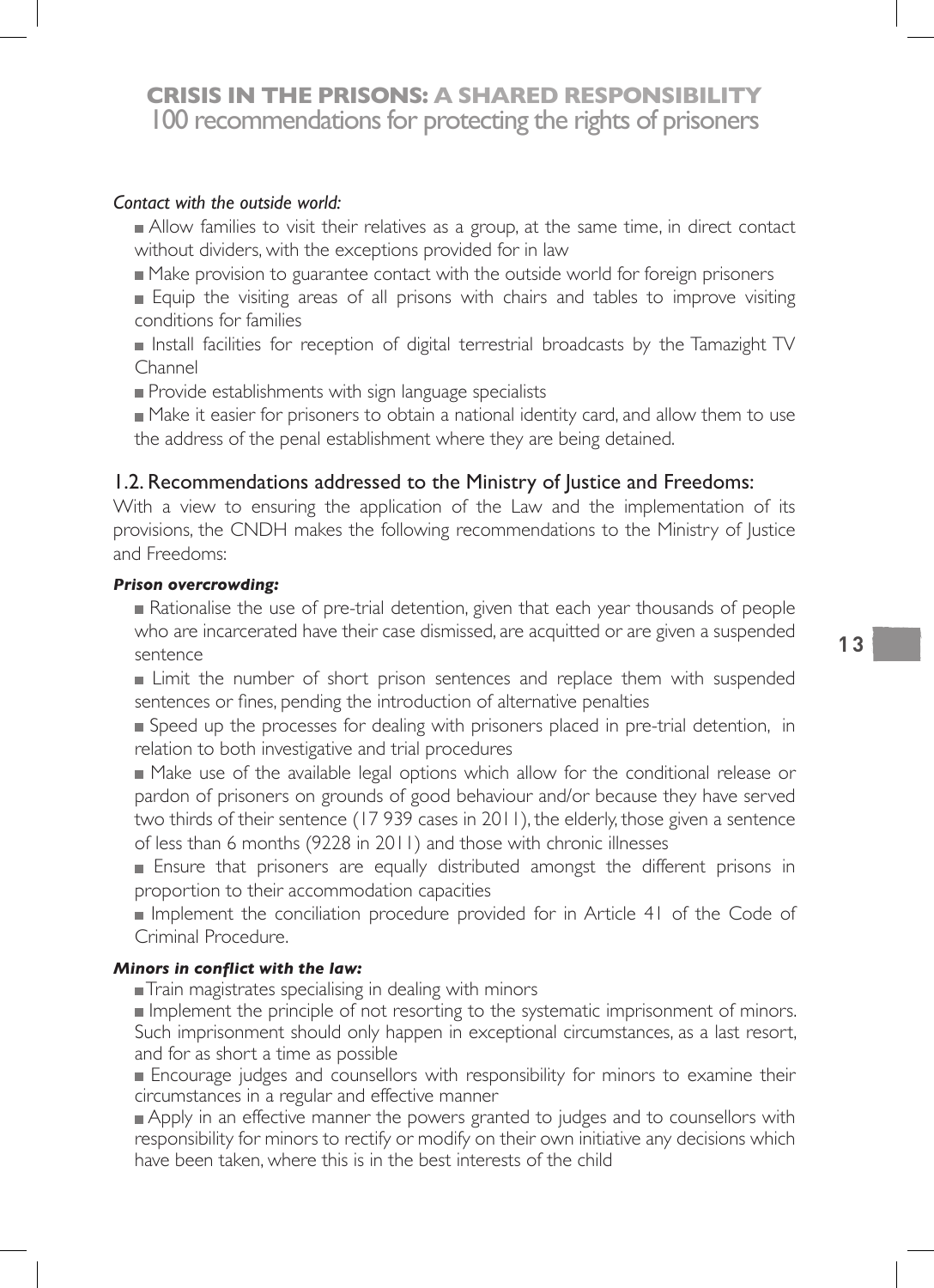## *Contact with the outside world:*

- Allow families to visit their relatives as a group, at the same time, in direct contact without dividers, with the exceptions provided for in law
- Make provision to guarantee contact with the outside world for foreign prisoners
- **Equip the visiting areas of all prisons with chairs and tables to improve visiting** conditions for families
- Install facilities for reception of digital terrestrial broadcasts by the Tamazight TV Channel
- Provide establishments with sign language specialists
- Make it easier for prisoners to obtain a national identity card, and allow them to use the address of the penal establishment where they are being detained.

### 1.2. Recommendations addressed to the Ministry of Justice and Freedoms:

With a view to ensuring the application of the Law and the implementation of its provisions, the CNDH makes the following recommendations to the Ministry of Justice and Freedoms:

#### *Prison overcrowding:*

- Rationalise the use of pre-trial detention, given that each year thousands of people who are incarcerated have their case dismissed, are acquitted or are given a suspended sentence
- Limit the number of short prison sentences and replace them with suspended sentences or fines, pending the introduction of alternative penalties
- Speed up the processes for dealing with prisoners placed in pre-trial detention, in relation to both investigative and trial procedures
- Make use of the available legal options which allow for the conditional release or pardon of prisoners on grounds of good behaviour and/or because they have served two thirds of their sentence (17 939 cases in 2011), the elderly, those given a sentence of less than 6 months (9228 in 2011) and those with chronic illnesses
- Ensure that prisoners are equally distributed amongst the different prisons in proportion to their accommodation capacities
- Implement the conciliation procedure provided for in Article 41 of the Code of Criminal Procedure.

#### *Minors in conflict with the law:*

- Train magistrates specialising in dealing with minors
- Implement the principle of not resorting to the systematic imprisonment of minors. Such imprisonment should only happen in exceptional circumstances, as a last resort, and for as short a time as possible
- **Encourage judges and counsellors with responsibility for minors to examine their** circumstances in a regular and effective manner
- Apply in an effective manner the powers granted to judges and to counsellors with responsibility for minors to rectify or modify on their own initiative any decisions which have been taken, where this is in the best interests of the child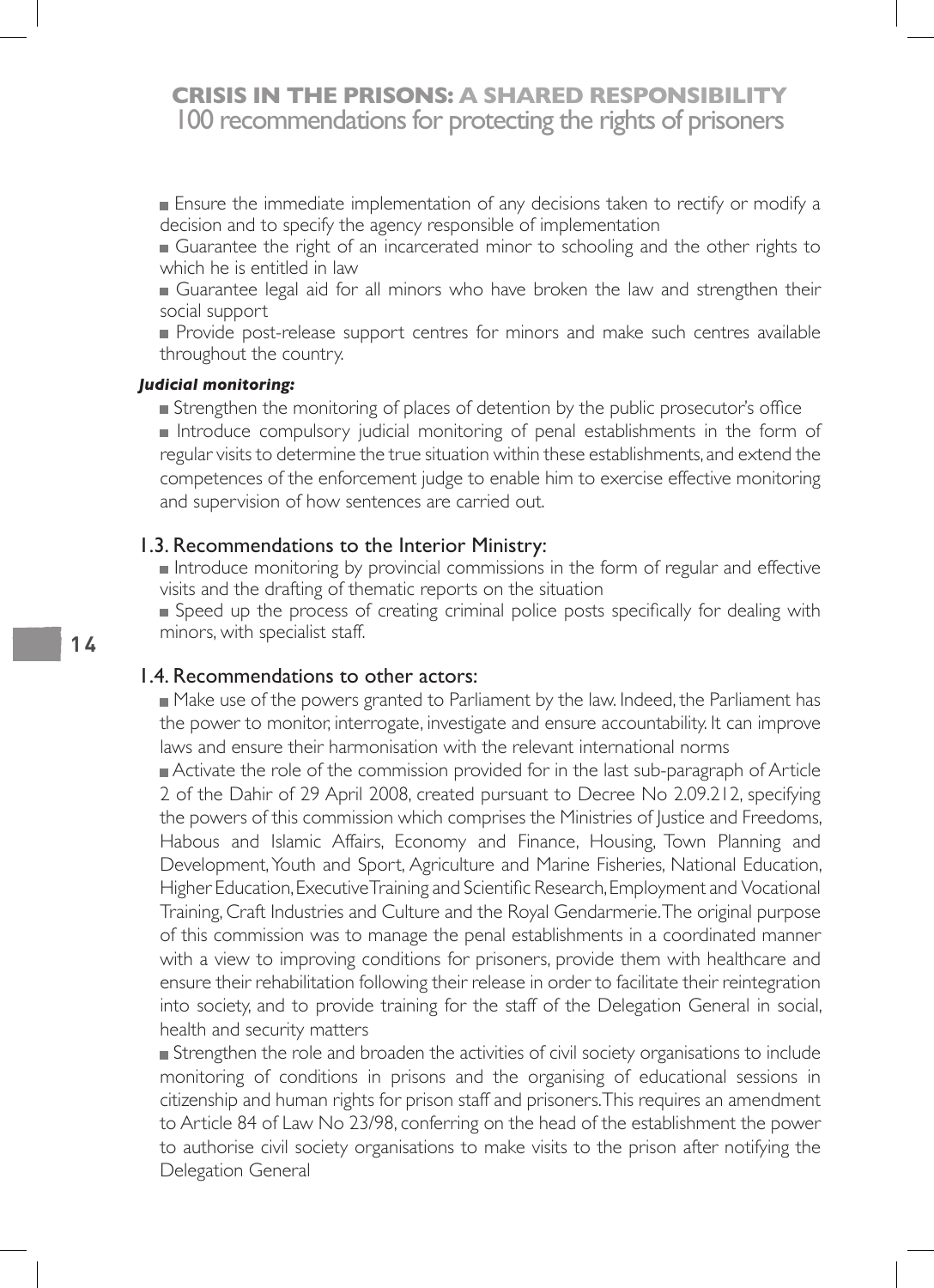- **Ensure the immediate implementation of any decisions taken to rectify or modify a** decision and to specify the agency responsible of implementation
- Guarantee the right of an incarcerated minor to schooling and the other rights to which he is entitled in law
- Guarantee legal aid for all minors who have broken the law and strengthen their social support

Provide post-release support centres for minors and make such centres available throughout the country.

#### *Judicial monitoring:*

**Strengthen the monitoring of places of detention by the public prosecutor's office** Introduce compulsory judicial monitoring of penal establishments in the form of regular visits to determine the true situation within these establishments, and extend the competences of the enforcement judge to enable him to exercise effective monitoring and supervision of how sentences are carried out.

## 1.3. Recommendations to the Interior Ministry:

Introduce monitoring by provincial commissions in the form of regular and effective visits and the drafting of thematic reports on the situation

Speed up the process of creating criminal police posts specifically for dealing with minors, with specialist staff.

## 1.4. Recommendations to other actors:

Make use of the powers granted to Parliament by the law. Indeed, the Parliament has the power to monitor, interrogate, investigate and ensure accountability. It can improve laws and ensure their harmonisation with the relevant international norms

Activate the role of the commission provided for in the last sub-paragraph of Article 2 of the Dahir of 29 April 2008, created pursuant to Decree No 2.09.212, specifying the powers of this commission which comprises the Ministries of Justice and Freedoms, Habous and Islamic Affairs, Economy and Finance, Housing, Town Planning and Development, Youth and Sport, Agriculture and Marine Fisheries, National Education, Higher Education, Executive Training and Scientific Research, Employment and Vocational Training, Craft Industries and Culture and the Royal Gendarmerie. The original purpose of this commission was to manage the penal establishments in a coordinated manner with a view to improving conditions for prisoners, provide them with healthcare and ensure their rehabilitation following their release in order to facilitate their reintegration into society, and to provide training for the staff of the Delegation General in social, health and security matters

Strengthen the role and broaden the activities of civil society organisations to include monitoring of conditions in prisons and the organising of educational sessions in citizenship and human rights for prison staff and prisoners. This requires an amendment to Article 84 of Law No 23/98, conferring on the head of the establishment the power to authorise civil society organisations to make visits to the prison after notifying the Delegation General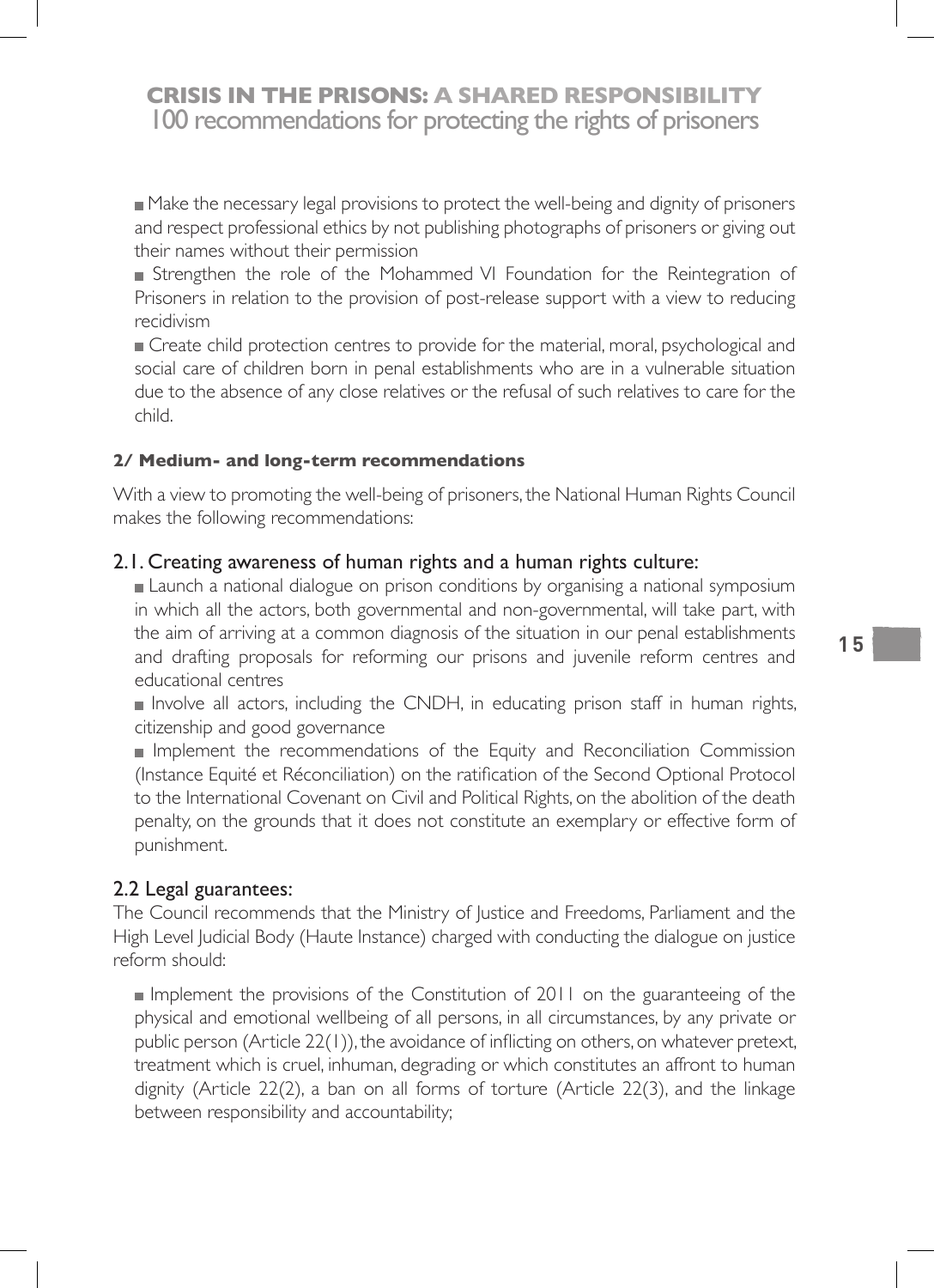Make the necessary legal provisions to protect the well-being and dignity of prisoners and respect professional ethics by not publishing photographs of prisoners or giving out their names without their permission

Strengthen the role of the Mohammed VI Foundation for the Reintegration of Prisoners in relation to the provision of post-release support with a view to reducing recidivism

Create child protection centres to provide for the material, moral, psychological and social care of children born in penal establishments who are in a vulnerable situation due to the absence of any close relatives or the refusal of such relatives to care for the child.

## **2/ Medium- and long-term recommendations**

With a view to promoting the well-being of prisoners, the National Human Rights Council makes the following recommendations:

### 2.1. Creating awareness of human rights and a human rights culture:

**Launch a national dialogue on prison conditions by organising a national symposium** in which all the actors, both governmental and non-governmental, will take part, with the aim of arriving at a common diagnosis of the situation in our penal establishments and drafting proposals for reforming our prisons and juvenile reform centres and educational centres

Involve all actors, including the CNDH, in educating prison staff in human rights, citizenship and good governance

**Implement the recommendations of the Equity and Reconciliation Commission** (Instance Equité et Réconciliation) on the ratification of the Second Optional Protocol to the International Covenant on Civil and Political Rights, on the abolition of the death penalty, on the grounds that it does not constitute an exemplary or effective form of punishment.

#### 2.2 Legal guarantees:

The Council recommends that the Ministry of Justice and Freedoms, Parliament and the High Level Judicial Body (Haute Instance) charged with conducting the dialogue on justice reform should:

Implement the provisions of the Constitution of 2011 on the guaranteeing of the physical and emotional wellbeing of all persons, in all circumstances, by any private or public person (Article 22(1)), the avoidance of inflicting on others, on whatever pretext, treatment which is cruel, inhuman, degrading or which constitutes an affront to human dignity (Article 22(2), a ban on all forms of torture (Article 22(3), and the linkage between responsibility and accountability;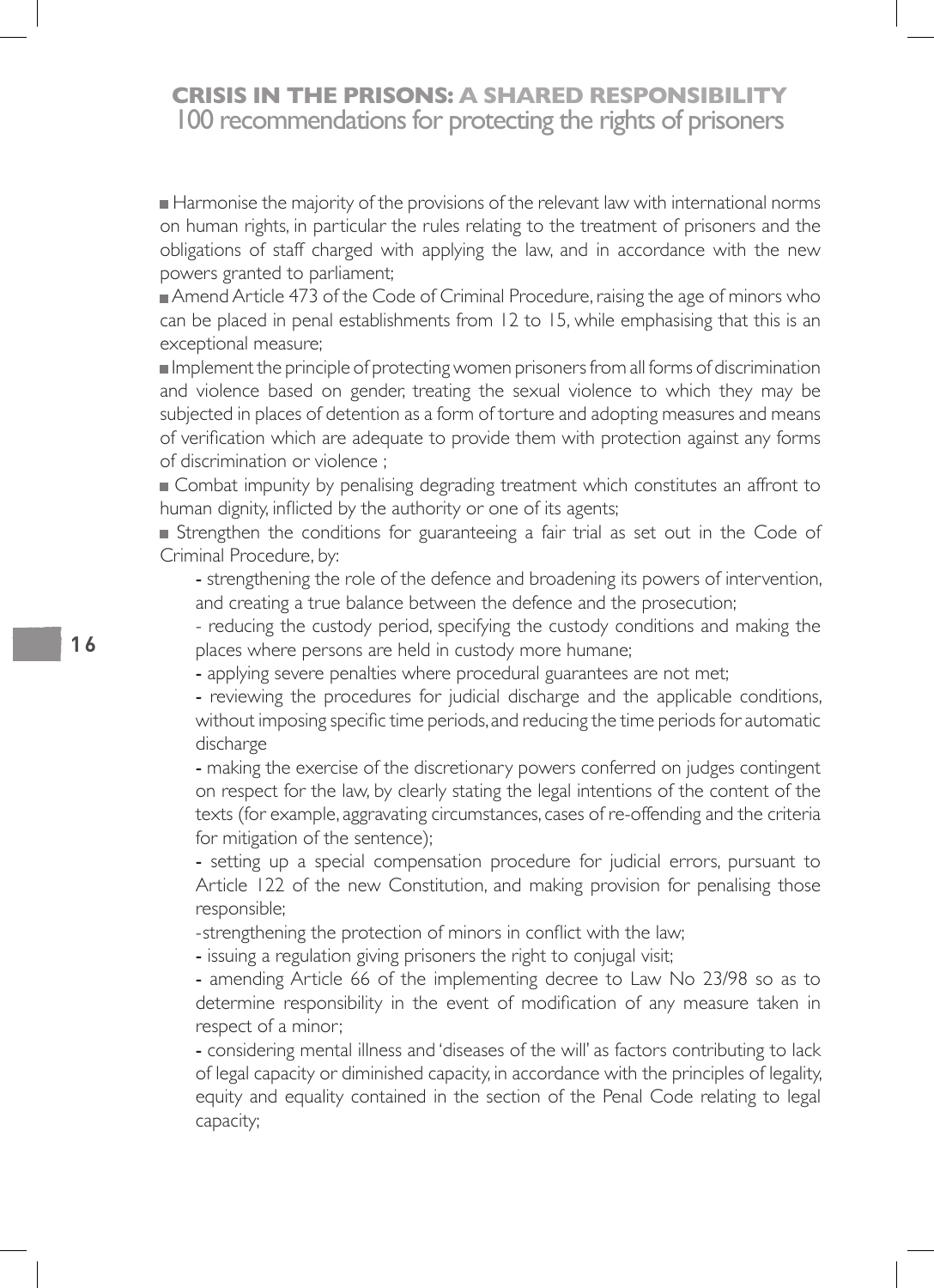Harmonise the majority of the provisions of the relevant law with international norms on human rights, in particular the rules relating to the treatment of prisoners and the obligations of staff charged with applying the law, and in accordance with the new powers granted to parliament;

 Amend Article 473 of the Code of Criminal Procedure, raising the age of minors who can be placed in penal establishments from 12 to 15, while emphasising that this is an exceptional measure;

Implement the principle of protecting women prisoners from all forms of discrimination and violence based on gender, treating the sexual violence to which they may be subjected in places of detention as a form of torture and adopting measures and means of verification which are adequate to provide them with protection against any forms of discrimination or violence ;

**Combat impunity by penalising degrading treatment which constitutes an affront to** human dignity, inflicted by the authority or one of its agents;

**Strengthen the conditions for guaranteeing a fair trial as set out in the Code of** Criminal Procedure, by:

- strengthening the role of the defence and broadening its powers of intervention, and creating a true balance between the defence and the prosecution;

- reducing the custody period, specifying the custody conditions and making the places where persons are held in custody more humane;

- applying severe penalties where procedural guarantees are not met;

- reviewing the procedures for judicial discharge and the applicable conditions, without imposing specific time periods, and reducing the time periods for automatic discharge

- making the exercise of the discretionary powers conferred on judges contingent on respect for the law, by clearly stating the legal intentions of the content of the texts (for example, aggravating circumstances, cases of re-offending and the criteria for mitigation of the sentence);

- setting up a special compensation procedure for judicial errors, pursuant to Article 122 of the new Constitution, and making provision for penalising those responsible;

-strengthening the protection of minors in conflict with the law;

- issuing a regulation giving prisoners the right to conjugal visit;

- amending Article 66 of the implementing decree to Law No 23/98 so as to determine responsibility in the event of modification of any measure taken in respect of a minor;

- considering mental illness and 'diseases of the will' as factors contributing to lack of legal capacity or diminished capacity, in accordance with the principles of legality, equity and equality contained in the section of the Penal Code relating to legal capacity;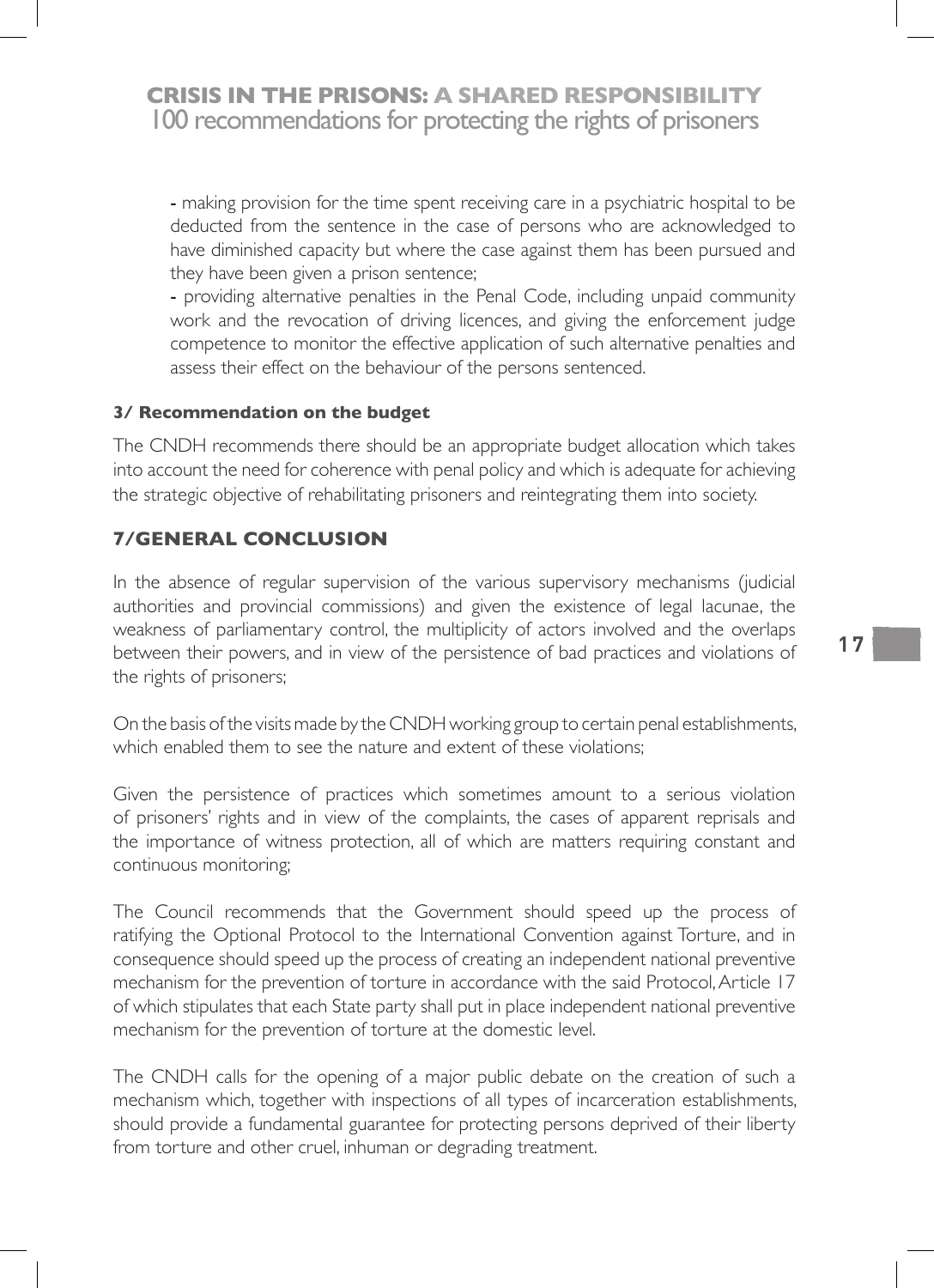- making provision for the time spent receiving care in a psychiatric hospital to be deducted from the sentence in the case of persons who are acknowledged to have diminished capacity but where the case against them has been pursued and they have been given a prison sentence;

- providing alternative penalties in the Penal Code, including unpaid community work and the revocation of driving licences, and giving the enforcement judge competence to monitor the effective application of such alternative penalties and assess their effect on the behaviour of the persons sentenced.

## **3/ Recommendation on the budget**

The CNDH recommends there should be an appropriate budget allocation which takes into account the need for coherence with penal policy and which is adequate for achieving the strategic objective of rehabilitating prisoners and reintegrating them into society.

# **7/GENERAL CONCLUSION**

In the absence of regular supervision of the various supervisory mechanisms (judicial authorities and provincial commissions) and given the existence of legal lacunae, the weakness of parliamentary control, the multiplicity of actors involved and the overlaps between their powers, and in view of the persistence of bad practices and violations of the rights of prisoners;

On the basis of the visits made by the CNDH working group to certain penal establishments, which enabled them to see the nature and extent of these violations;

Given the persistence of practices which sometimes amount to a serious violation of prisoners' rights and in view of the complaints, the cases of apparent reprisals and the importance of witness protection, all of which are matters requiring constant and continuous monitoring;

The Council recommends that the Government should speed up the process of ratifying the Optional Protocol to the International Convention against Torture, and in consequence should speed up the process of creating an independent national preventive mechanism for the prevention of torture in accordance with the said Protocol, Article 17 of which stipulates that each State party shall put in place independent national preventive mechanism for the prevention of torture at the domestic level.

The CNDH calls for the opening of a major public debate on the creation of such a mechanism which, together with inspections of all types of incarceration establishments, should provide a fundamental guarantee for protecting persons deprived of their liberty from torture and other cruel, inhuman or degrading treatment.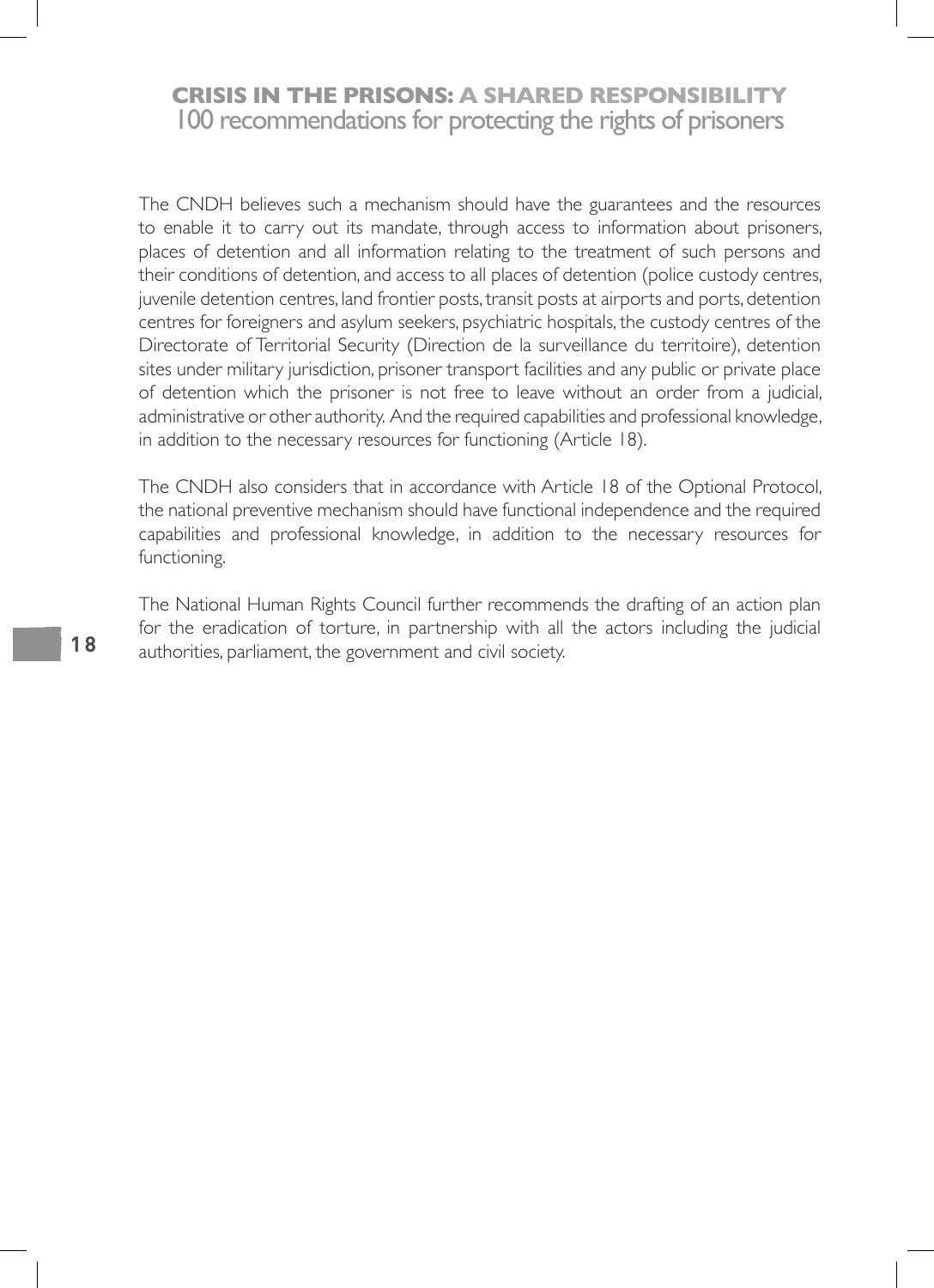The CNDH believes such a mechanism should have the guarantees and the resources to enable it to carry out its mandate, through access to information about prisoners, places of detention and all information relating to the treatment of such persons and their conditions of detention, and access to all places of detention (police custody centres, juvenile detention centres, land frontier posts, transit posts at airports and ports, detention centres for foreigners and asylum seekers, psychiatric hospitals, the custody centres of the Directorate of Territorial Security (Direction de la surveillance du territoire), detention sites under military jurisdiction, prisoner transport facilities and any public or private place of detention which the prisoner is not free to leave without an order from a judicial, administrative or other authority. And the required capabilities and professional knowledge, in addition to the necessary resources for functioning (Article 18).

The CNDH also considers that in accordance with Article 18 of the Optional Protocol, the national preventive mechanism should have functional independence and the required capabilities and professional knowledge, in addition to the necessary resources for functioning.

The National Human Rights Council further recommends the drafting of an action plan for the eradication of torture, in partnership with all the actors including the judicial authorities, parliament, the government and civil society.